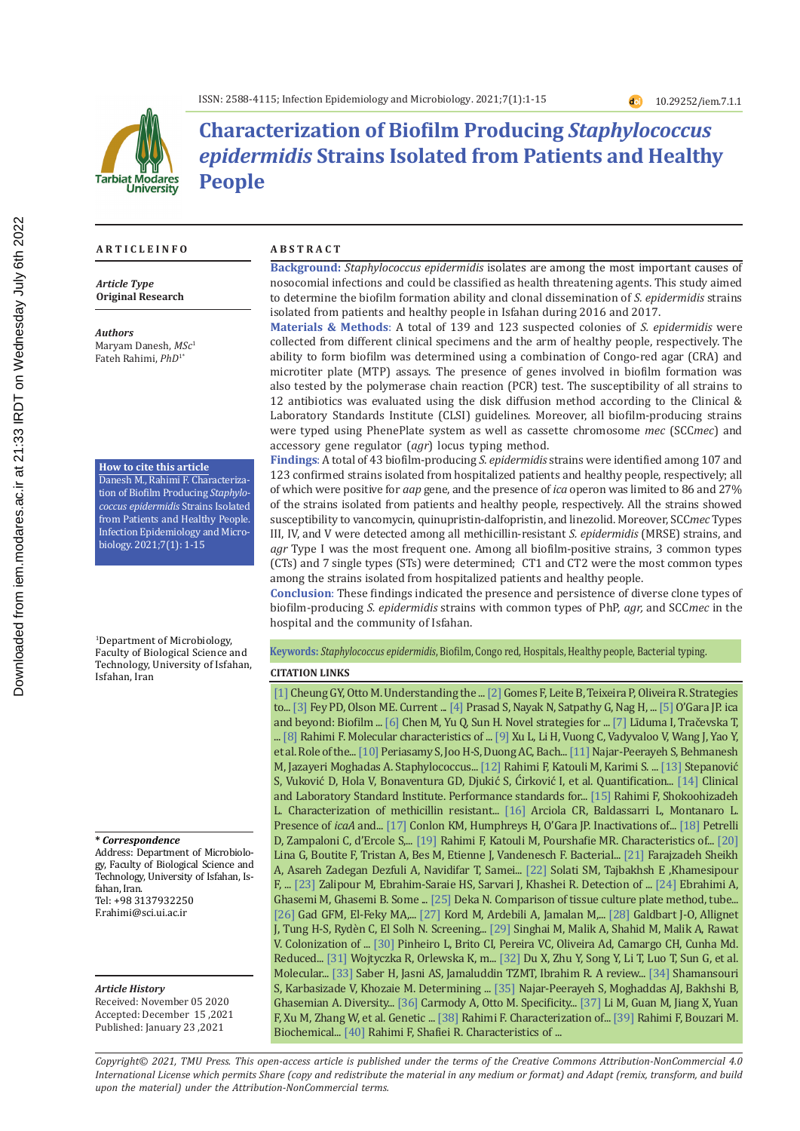

# **Characterization of Biofilm Producing** *Staphylococcus epidermidis* **Strains Isolated from Patients and Healthy People**

#### **A R T I C L E I N F O A B S T R A C T**

*Article Type* **Original Research**

*Authors* Maryam Danesh, *MSc*<sup>1</sup> Fateh Rahimi, *PhD*1\*

**How to cite this article**

Danesh M., Rahimi F. Characterization of Biofilm Producing *Staphylococcus epidermidis* Strains Isolated from Patients and Healthy People. Infection Epidemiology and Microbiology. 2021;7(1): 1-15

1 Department of Microbiology, Faculty of Biological Science and Technology, University of Isfahan, Isfahan, Iran

**\*** *Correspondence*

Address: Department of Microbiology, Faculty of Biological Science and Technology, University of Isfahan, Isfahan, Iran. Tel: +98 3137932250 F.rahimi@sci.ui.ac.ir

*Article History*

Received: November 05 2020 Accepted: December 15 ,2021 Published: January 23 ,2021

**Background:** *Staphylococcus epidermidis* isolates are among the most important causes of nosocomial infections and could be classified as health threatening agents. This study aimed to determine the biofilm formation ability and clonal dissemination of *S. epidermidis* strains isolated from patients and healthy people in Isfahan during 2016 and 2017.

**Materials & Methods**: A total of 139 and 123 suspected colonies of *S. epidermidis* were collected from different clinical specimens and the arm of healthy people, respectively. The ability to form biofilm was determined using a combination of Congo-red agar (CRA) and microtiter plate (MTP) assays. The presence of genes involved in biofilm formation was also tested by the polymerase chain reaction (PCR) test. The susceptibility of all strains to 12 antibiotics was evaluated using the disk diffusion method according to the Clinical & Laboratory Standards Institute (CLSI) guidelines. Moreover, all biofilm-producing strains were typed using PhenePlate system as well as cassette chromosome *mec* (SCC*mec*) and accessory gene regulator (*agr*) locus typing method.

**Findings**: A total of 43 biofilm-producing *S. epidermidis* strains were identified among 107 and 123 confirmed strains isolated from hospitalized patients and healthy people, respectively; all of which were positive for *aap* gene, and the presence of *ica* operon was limited to 86 and 27% of the strains isolated from patients and healthy people, respectively. All the strains showed susceptibility to vancomycin, quinupristin-dalfopristin, and linezolid. Moreover, SCC*mec* Types III, IV, and V were detected among all methicillin-resistant *S. epidermidis* (MRSE) strains, and *agr* Type I was the most frequent one. Among all biofilm-positive strains, 3 common types (CTs) and 7 single types (STs) were determined; CT1 and CT2 were the most common types among the strains isolated from hospitalized patients and healthy people.

**Conclusion**: These findings indicated the presence and persistence of diverse clone types of biofilm-producing *S. epidermidis* strains with common types of PhP, *agr,* and SCC*mec* in the hospital and the community of Isfahan.

#### **Keywords:** *Staphylococcus epidermidis*, Biofilm, Congo red, Hospitals, Healthy people, Bacterial typing.

#### **CITATION LINKS**

[1] Cheung GY, Otto M. Understanding the ... [2] Gomes F, Leite B, Teixeira P, Oliveira R. Strategies to... [3] Fey PD, Olson ME. Current ... [4] Prasad S, Nayak N, Satpathy G, Nag H, ... [5] O'Gara JP. ica and beyond: Biofilm ... [6] Chen M, Yu Q, Sun H. Novel strategies for ... [7] Līduma I, Tračevska T, ... [8] Rahimi F. Molecular characteristics of ... [9] Xu L, Li H, Vuong C, Vadyvaloo V, Wang J, Yao Y, et al. Role of the... [10] Periasamy S, Joo H-S, Duong AC, Bach... [11] Najar-Peerayeh S, Behmanesh M, Jazayeri Moghadas A. Staphylococcus... [12] Rahimi F, Katouli M, Karimi S. ... [13] Stepanović S, Vuković D, Hola V, Bonaventura GD, Djukić S, Ćirković I, et al. Quantification... [14] Clinical and Laboratory Standard Institute. Performance standards for... [15] Rahimi F, Shokoohizadeh L. Characterization of methicillin resistant... [16] Arciola CR, Baldassarri L, Montanaro L. Presence of *icaA* and... [17] Conlon KM, Humphreys H, O'Gara JP. Inactivations of... [18] Petrelli D, Zampaloni C, d'Ercole S,... [19] Rahimi F, Katouli M, Pourshafie MR. Characteristics of... [20] Lina G, Boutite F, Tristan A, Bes M, Etienne J, Vandenesch F. Bacterial... [21] Farajzadeh Sheikh A, Asareh Zadegan Dezfuli A, Navidifar T, Samei... [22] Solati SM, Tajbakhsh E ,Khamesipour F, ... [23] Zalipour M, Ebrahim-Saraie HS, Sarvari J, Khashei R. Detection of ... [24] Ebrahimi A, Ghasemi M, Ghasemi B. Some ... [25] Deka N. Comparison of tissue culture plate method, tube... [26] Gad GFM, El-Feky MA,... [27] Kord M, Ardebili A, Jamalan M,... [28] Galdbart J-O, Allignet J, Tung H-S, Rydèn C, El Solh N. Screening... [29] Singhai M, Malik A, Shahid M, Malik A, Rawat V. Colonization of ... [30] Pinheiro L, Brito CI, Pereira VC, Oliveira Ad, Camargo CH, Cunha Md. Reduced... [31] Wojtyczka R, Orlewska K, m... [32] Du X, Zhu Y, Song Y, Li T, Luo T, Sun G, et al. Molecular... [33] Saber H, Jasni AS, Jamaluddin TZMT, Ibrahim R. A review... [34] Shamansouri S, Karbasizade V, Khozaie M. Determining ... [35] Najar-Peerayeh S, Moghaddas AJ, Bakhshi B, Ghasemian A. Diversity... [36] Carmody A, Otto M. Specificity... [37] Li M, Guan M, Jiang X, Yuan F, Xu M, Zhang W, et al. Genetic ... [38] Rahimi F. Characterization of... [39] Rahimi F, Bouzari M. Biochemical... [40] Rahimi F, Shafiei R. Characteristics of ...

*Copyright© 2021, TMU Press. This open-access article is published under the terms of the Creative Commons Attribution-NonCommercial 4.0 International License which permits Share (copy and redistribute the material in any medium or format) and Adapt (remix, transform, and build upon the material) under the Attribution-NonCommercial terms.*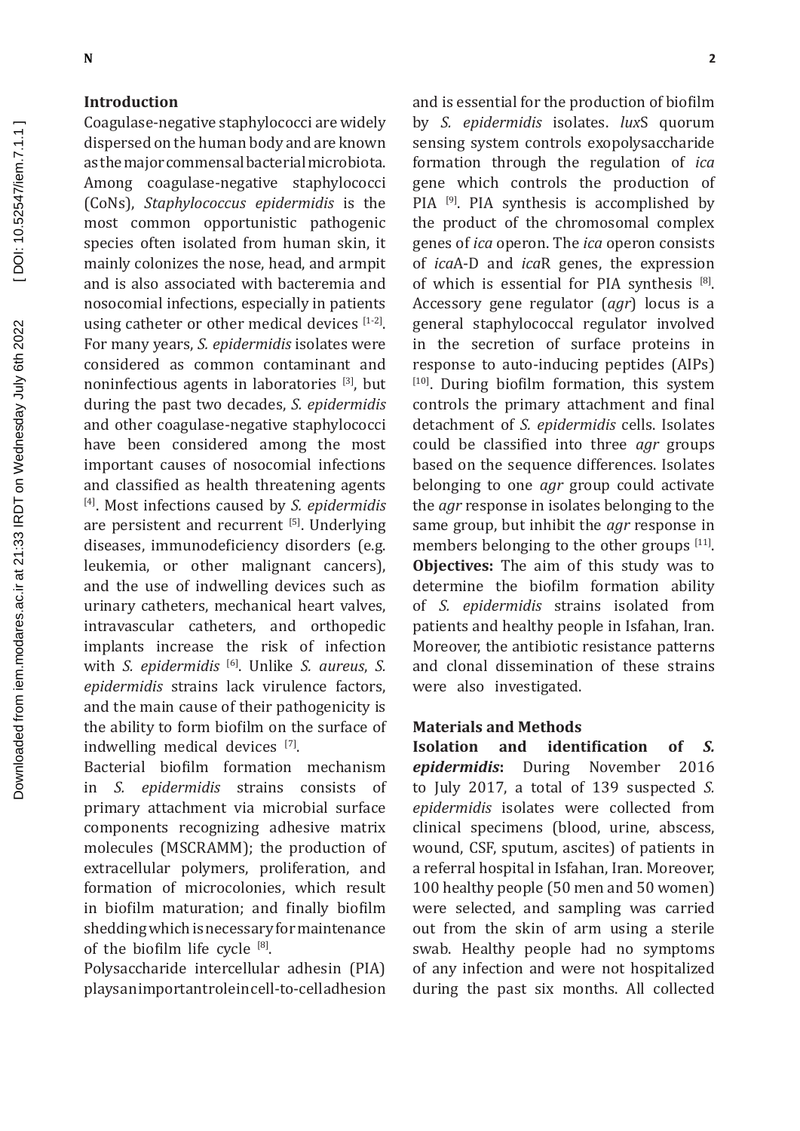#### **Introduction**

Coagulase-negative staphylococci are widely dispersed on the human body and are known as the major commensal bacterial microbiota. Among coagulase-negative staphylococci (CoNs), Staphylococcus epidermidis is the most common opportunistic pathogenic species often isolated from human skin, it mainly colonizes the nose, head, and armpit and is also associated with bacteremia and nosocomial infections, especially in patients using catheter or other medical devices  $[1-2]$ . For many years, S. epidermidis isolates were considered as common contaminant and noninfectious agents in laboratories [3], but during the past two decades, S. epidermidis and other coagulase-negative staphylococci have been considered among the most important causes of nosocomial infections and classified as health threatening agents [4]. Most infections caused by S. epidermidis are persistent and recurrent [5]. Underlying diseases, immunodeficiency disorders (e.g. leukemia, or other malignant cancers), and the use of indwelling devices such as urinary catheters, mechanical heart valves, intravascular catheters, and orthopedic implants increase the risk of infection with S. epidermidis<sup>[6]</sup>. Unlike S. aureus, S. epidermidis strains lack virulence factors, and the main cause of their pathogenicity is the ability to form biofilm on the surface of indwelling medical devices [7].

Bacterial biofilm formation mechanism of S. epidermidis strains consists in primary attachment via microbial surface components recognizing adhesive matrix molecules (MSCRAMM); the production of extracellular polymers, proliferation, and formation of microcolonies, which result in biofilm maturation; and finally biofilm shedding which is necessary for maintenance of the biofilm life cycle [8].

Polysaccharide intercellular adhesin (PIA) playsanimportantroleincell-to-celladhesion

and is essential for the production of biofilm by S. epidermidis isolates. luxS quorum sensing system controls exopolysaccharide formation through the regulation of ica gene which controls the production of PIA<sup>[9]</sup>. PIA synthesis is accomplished by the product of the chromosomal complex genes of *ica* operon. The *ica* operon consists of *icaA-D* and *icaR* genes, the expression of which is essential for PIA synthesis [8]. Accessory gene regulator (agr) locus is a general staphylococcal regulator involved in the secretion of surface proteins in response to auto-inducing peptides (AIPs) <sup>[10]</sup>. During biofilm formation, this system controls the primary attachment and final detachment of S. epidermidis cells. Isolates could be classified into three *agr* groups based on the sequence differences. Isolates belonging to one *agr* group could activate the *agr* response in isolates belonging to the same group, but inhibit the *agr* response in members belonging to the other groups [11]. **Objectives:** The aim of this study was to determine the biofilm formation ability of S. epidermidis strains isolated from patients and healthy people in Isfahan, Iran. Moreover, the antibiotic resistance patterns and clonal dissemination of these strains were also investigated.

#### **Materials and Methods**

**Isolation** and identification  $\alpha$ f  $\mathcal{S}$ epidermidis: During November 2016 to July 2017, a total of 139 suspected S. epidermidis isolates were collected from clinical specimens (blood, urine, abscess, wound, CSF, sputum, ascites) of patients in a referral hospital in Isfahan, Iran. Moreover, 100 healthy people (50 men and 50 women) were selected, and sampling was carried out from the skin of arm using a sterile swab. Healthy people had no symptoms of any infection and were not hospitalized during the past six months. All collected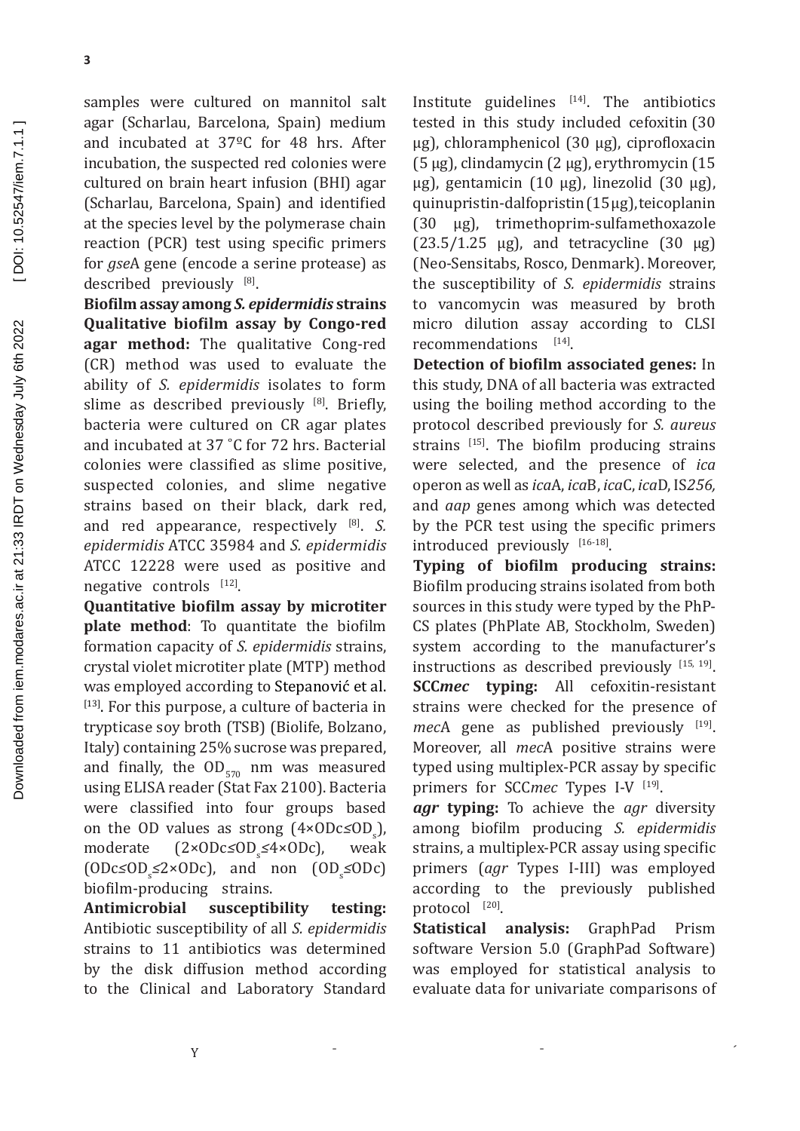samples were cultured on mannitol salt agar (Scharlau, Barcelona, Spain) medium and incubated at 37ºC for 48 hrs. After incubation, the suspected red colonies were cultured on brain heart infusion (BHI) agar (Scharlau, Barcelona, Spain) and identified at the species level by the polymerase chain reaction (PCR) test using specific primers for *gse*A gene (encode a serine protease) as described previously [8].

**Biofilm assay among** *S. epidermidis* **strains Qualitative biofilm assay by Congo-red agar method:** The qualitative Cong-red (CR) method was used to evaluate the ability of *S. epidermidis* isolates to form slime as described previously [8]. Briefly, bacteria were cultured on CR agar plates and incubated at 37 ˚C for 72 hrs. Bacterial colonies were classified as slime positive, suspected colonies, and slime negative strains based on their black, dark red, and red appearance, respectively [8]. *S. epidermidis* ATCC 35984 and *S. epidermidis*  ATCC 12228 were used as positive and negative controls [12].

**Quantitative biofilm assay by microtiter plate method**: To quantitate the biofilm formation capacity of *S. epidermidis* strains, crystal violet microtiter plate (MTP) method was employed according to Stepanović et al. [13]. For this purpose, a culture of bacteria in trypticase soy broth (TSB) (Biolife, Bolzano, Italy) containing 25% sucrose was prepared, and finally, the  $OD_{570}$  nm was measured using ELISA reader (Stat Fax 2100). Bacteria were classified into four groups based on the OD values as strong (4×ODc≤OD<sub>s</sub>), moderate (2×ODc*≤*OD<sup>s</sup> *≤*4×ODc), weak (ODc*≤*OD<sup>s</sup> *≤*2×ODc), and non (OD<sup>s</sup> *≤*ODc) biofilm-producing strains.<br>**Antimicrobial susceptil** 

**Antimicrobial susceptibility testing:** Antibiotic susceptibility of all *S. epidermidis* strains to 11 antibiotics was determined by the disk diffusion method according to the Clinical and Laboratory Standard

Institute guidelines  $[14]$ . The antibiotics tested in this study included cefoxitin (30 µg), chloramphenicol (30 µg), ciprofloxacin (5 µg), clindamycin (2 µg), erythromycin (15  $\mu$ g), gentamicin (10  $\mu$ g), linezolid (30  $\mu$ g), quinupristin-dalfopristin (15 µg), teicoplanin (30 µg), trimethoprim-sulfamethoxazole  $(23.5/1.25 \text{ µg})$ , and tetracycline  $(30 \text{ µg})$ (Neo-Sensitabs, Rosco, Denmark). Moreover, the susceptibility of *S. epidermidis* strains to vancomycin was measured by broth micro dilution assay according to CLSI recommendations [14].

**Detection of biofilm associated genes:** In this study, DNA of all bacteria was extracted using the boiling method according to the protocol described previously for *S. aureus* strains [15]. The biofilm producing strains were selected, and the presence of *ica* operon as well as *ica*A, *ica*B, *ica*C, *ica*D, IS*256,* and *aap* genes among which was detected by the PCR test using the specific primers introduced previously [16-18].

**Typing of biofilm producing strains:** Biofilm producing strains isolated from both sources in this study were typed by the PhP-CS plates (PhPlate AB, Stockholm, Sweden) system according to the manufacturer's instructions as described previously  $[15, 19]$ . **SCC***mec* **typing:** All cefoxitin-resistant strains were checked for the presence of *mecA* gene as published previously <sup>[19]</sup>. Moreover, all *mec*A positive strains were typed using multiplex-PCR assay by specific primers for SCCmec Types I-V<sup>[19]</sup>.

*agr* **typing:** To achieve the *agr* diversity among biofilm producing *S. epidermidis* strains, a multiplex-PCR assay using specific primers (*agr* Types I-III) was employed according to the previously published protocol [20].

**Statistical analysis:** GraphPad Prism software Version 5.0 (GraphPad Software) was employed for statistical analysis to evaluate data for univariate comparisons of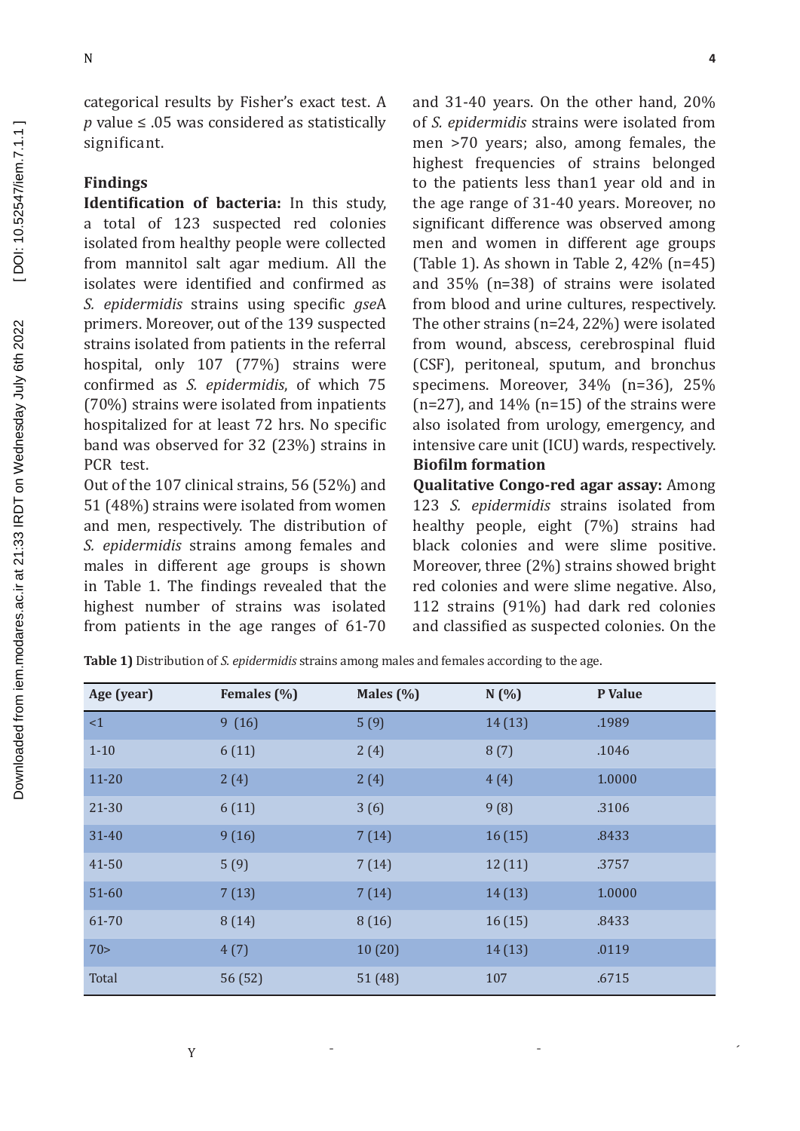categorical results by Fisher's exact test. A *p* value ≤ .05 was considered as statistically significant.

## **Findings**

**Identification of bacteria:** In this study, a total of 123 suspected red colonies isolated from healthy people were collected from mannitol salt agar medium. All the isolates were identified and confirmed as *S. epidermidis* strains using specific *gse*A primers. Moreover, out of the 139 suspected strains isolated from patients in the referral hospital, only 107 (77%) strains were confirmed as *S. epidermidis*, of which 75 (70%) strains were isolated from inpatients hospitalized for at least 72 hrs. No specific band was observed for 32 (23%) strains in PCR test.

Out of the 107 clinical strains, 56 (52%) and 51 (48%) strains were isolated from women and men, respectively. The distribution of *S. epidermidis* strains among females and males in different age groups is shown in Table 1. The findings revealed that the highest number of strains was isolated from patients in the age ranges of 61-70 and 31-40 years. On the other hand, 20% of *S. epidermidis* strains were isolated from men >70 years; also, among females, the highest frequencies of strains belonged to the patients less than1 year old and in the age range of 31-40 years. Moreover, no significant difference was observed among men and women in different age groups (Table 1). As shown in Table 2, 42% (n=45) and 35% (n=38) of strains were isolated from blood and urine cultures, respectively. The other strains (n=24, 22%) were isolated from wound, abscess, cerebrospinal fluid (CSF), peritoneal, sputum, and bronchus specimens. Moreover, 34% (n=36), 25%  $(n=27)$ , and  $14\%$   $(n=15)$  of the strains were also isolated from urology, emergency, and intensive care unit (ICU) wards, respectively. **Biofilm formation**

**Qualitative Congo-red agar assay:** Among 123 *S. epidermidis* strains isolated from healthy people, eight (7%) strains had black colonies and were slime positive. Moreover, three (2%) strains showed bright red colonies and were slime negative. Also, 112 strains (91%) had dark red colonies and classified as suspected colonies. On the

**Age (year) Females (%) Males (%) N (%) P Value**  $\leq$ 1  $\leq$  9 (16)  $\leq$  5 (9)  $\leq$  14 (13) .1989 1-10 6 (11)  $2(4)$  8 (7) .1046  $11-20$  2(4)  $2(4)$  4(4)  $1.0000$  $21-30$  6 (11)  $3(6)$  9 (8) .3106  $31-40$  9 (16)  $7(14)$  16 (15) .8433  $41-50$   $5(9)$   $7(14)$   $12(11)$  .3757  $51-60$   $7(13)$   $7(14)$   $14(13)$   $1.0000$ 61-70 8 (14) 8 (16) 16 (15) .8433  $70>$   $4(7)$   $10(20)$   $14(13)$  .0119 Total 56 (52) 51 (48) 107 .6715

**Table 1)** Distribution of *S. epidermidis* strains among males and females according to the age.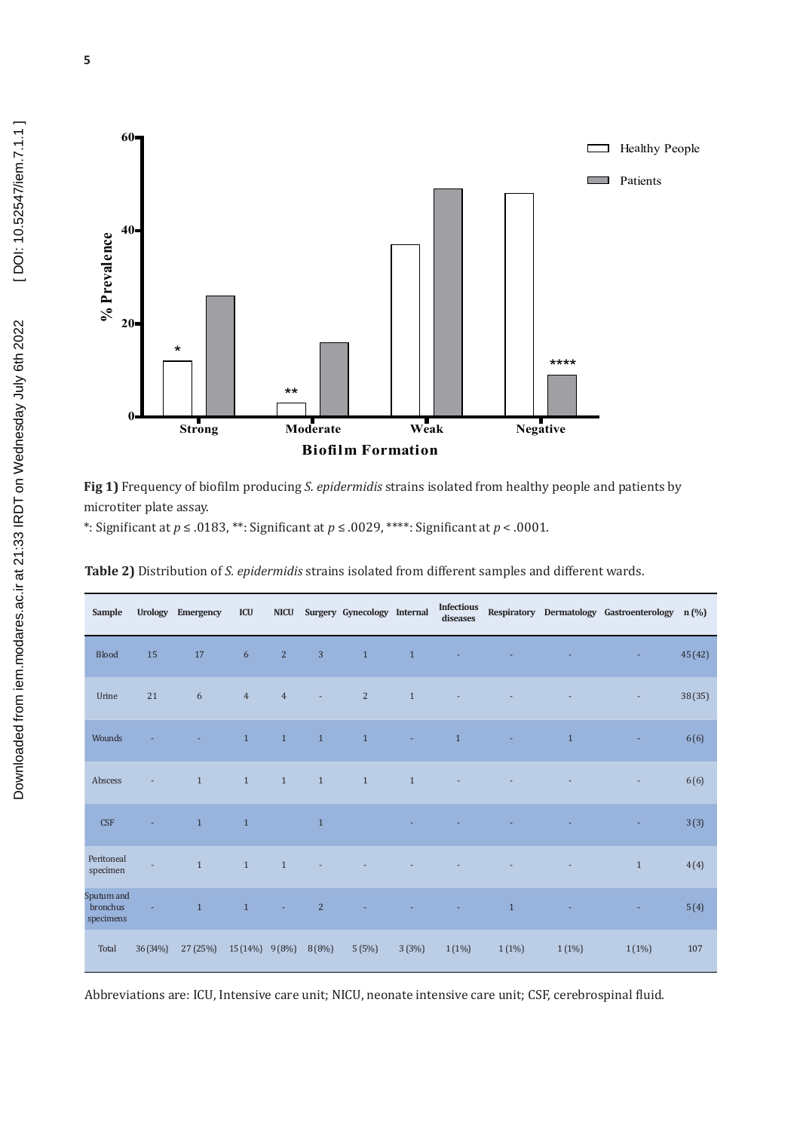

**Fig 1)** Frequency of biofilm producing *S. epidermidis* strains isolated from healthy people and patients by microtiter plate assay.

\*: Significant at *p* ≤ .0183, \*\*: Significant at *p* ≤ .0029, \*\*\*\*: Significant at *p* < .0001.

| Sample                              | <b>Urology</b> | Emergency    | <b>ICU</b>       | <b>NICU</b>    |                | Surgery Gynecology Internal |              | <b>Infectious</b><br>diseases |              |              | Respiratory Dermatology Gastroenterology n (%) |         |
|-------------------------------------|----------------|--------------|------------------|----------------|----------------|-----------------------------|--------------|-------------------------------|--------------|--------------|------------------------------------------------|---------|
| <b>Blood</b>                        | 15             | 17           | $6\,$            | $\overline{a}$ | $\overline{3}$ | $\mathbf{1}$                | $\mathbf{1}$ |                               |              |              | ×,                                             | 45 (42) |
| Urine                               | 21             | 6            | $\overline{4}$   | $\overline{4}$ | $\blacksquare$ | 2                           | $1\,$        |                               |              |              | ۰                                              | 38 (35) |
| Wounds                              |                |              | $\mathbf{1}$     | $\mathbf{1}$   | $\mathbf{1}$   | $\mathbf{1}$                |              | $\mathbf{1}$                  |              | $\mathbf{1}$ |                                                | 6(6)    |
| Abscess                             |                | $\mathbf{1}$ | $\mathbf{1}$     | $1\,$          | $\mathbf{1}$   | $1\,$                       | $\mathbf{1}$ |                               |              |              |                                                | 6(6)    |
| <b>CSF</b>                          |                | $\mathbf{1}$ | $\mathbf{1}$     |                | $\mathbf{1}$   |                             |              |                               |              |              |                                                | 3(3)    |
| Peritoneal<br>specimen              |                | $\mathbf{1}$ | $\mathbf{1}$     | $\mathbf{1}$   |                |                             |              |                               |              |              | $\mathbf{1}$                                   | 4(4)    |
| Sputum and<br>bronchus<br>specimens |                | $\mathbf{1}$ | $\mathbf{1}$     |                | $\overline{2}$ |                             |              |                               | $\mathbf{1}$ |              | ÷.                                             | 5(4)    |
| Total                               | 36(34%)        | 27(25%)      | $15(14\%)$ 9(8%) |                | 8(8%)          | 5(5%)                       | 3(3%)        | $1(1\%)$                      | 1(1%)        | $1(1\%)$     | $1(1\%)$                                       | 107     |

Abbreviations are: ICU, Intensive care unit; NICU, neonate intensive care unit; CSF, cerebrospinal fluid.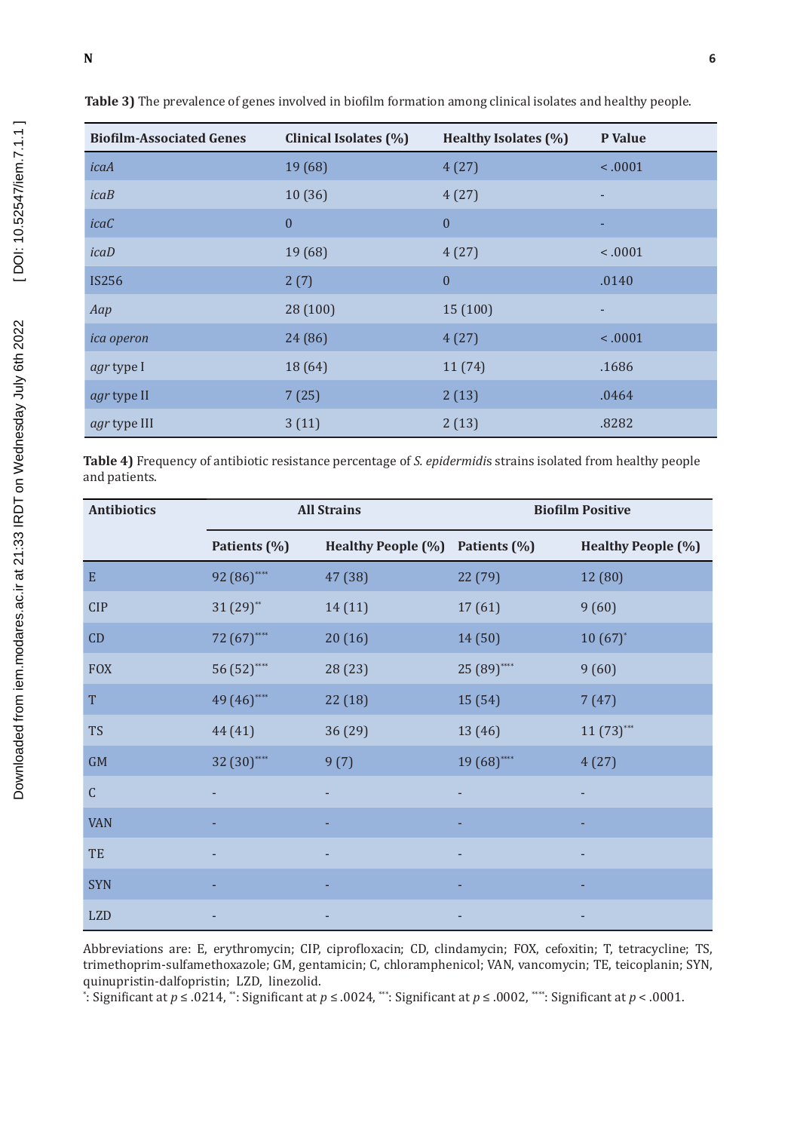#### ] } . o u ( } Œ u  $\ddot{\mathbf{S}}$ . }expid[evrmidis

| <b>Biofilm-Associated Genes</b> | Clinical Isolates (%) | Healthy Isolates (%) | P Value |
|---------------------------------|-----------------------|----------------------|---------|
| icaA                            | 19 (68)               | 4(27)                | < .0001 |
| icab                            | 10(36)                | 4(27)                |         |
| icaC                            | $\mathbf{0}$          | $\mathbf{0}$         |         |
| icab                            | 19 (68)               | 4(27)                | < .0001 |
| <b>IS256</b>                    | 2(7)                  | $\mathbf{0}$         | .0140   |
| Aap                             | 28 (100)              | 15 (100)             |         |
| <i>ica operon</i>               | 24 (86)               | 4(27)                | < .0001 |
| agr type I                      | 18 (64)               | 11(74)               | .1686   |
| agr type II                     | 7(25)                 | 2(13)                | .0464   |
| agr type III                    | 3(11)                 | 2(13)                | .8282   |

Table 3) The prevalence of genes involved in biofilm formation among clinical isolates and healthy people.

Table 4) Frequency of antibiotic resistance percentage of S. epidermidis strains isolated from healthy people and patients.

| <b>Antibiotics</b> |              | <b>All Strains</b>        | <b>Biofilm Positive</b> |                           |  |  |
|--------------------|--------------|---------------------------|-------------------------|---------------------------|--|--|
|                    | Patients (%) | <b>Healthy People (%)</b> | Patients (%)            | <b>Healthy People (%)</b> |  |  |
| E                  | 92 (86)****  | 47 (38)                   | 22 (79)                 | 12 (80)                   |  |  |
| <b>CIP</b>         | $31(29)$ **  | 14(11)                    | 17(61)                  | 9(60)                     |  |  |
| CD                 | 72 (67)****  | 20(16)                    | 14 (50)                 | $10(67)$ *                |  |  |
| <b>FOX</b>         | 56 (52)****  | 28 (23)                   | 25 (89)****             | 9(60)                     |  |  |
| T                  | 49 (46)****  | 22(18)                    | 15 (54)                 | 7(47)                     |  |  |
| <b>TS</b>          | 44 (41)      | 36 (29)                   | 13 (46)                 | $11 (73)$ ***             |  |  |
| GM                 | 32 (30)****  | 9(7)                      | 19 (68)****             | 4(27)                     |  |  |
| $\mathsf C$        |              |                           |                         |                           |  |  |
| <b>VAN</b>         |              |                           |                         |                           |  |  |
| TE                 |              |                           |                         |                           |  |  |
| <b>SYN</b>         |              |                           |                         |                           |  |  |
| <b>LZD</b>         |              |                           |                         |                           |  |  |

Abbreviations are: E, erythromycin; CIP, ciprofloxacin; CD, clindamycin; FOX, cefoxitin; T, tetracycline; TS, trimethoprim-sulfamethoxazole; GM, gentamicin; C, chloramphenicol; VAN, vancomycin; TE, teicoplanin; SYN, quinupristin-dalfopristin; LZD, linezolid.

: Significant at  $p \le 0.0214$ , ": Significant at  $p \le 0.0024$ , "": Significant at  $p \le 0.002$ , "": Significant at  $p < 0.001$ .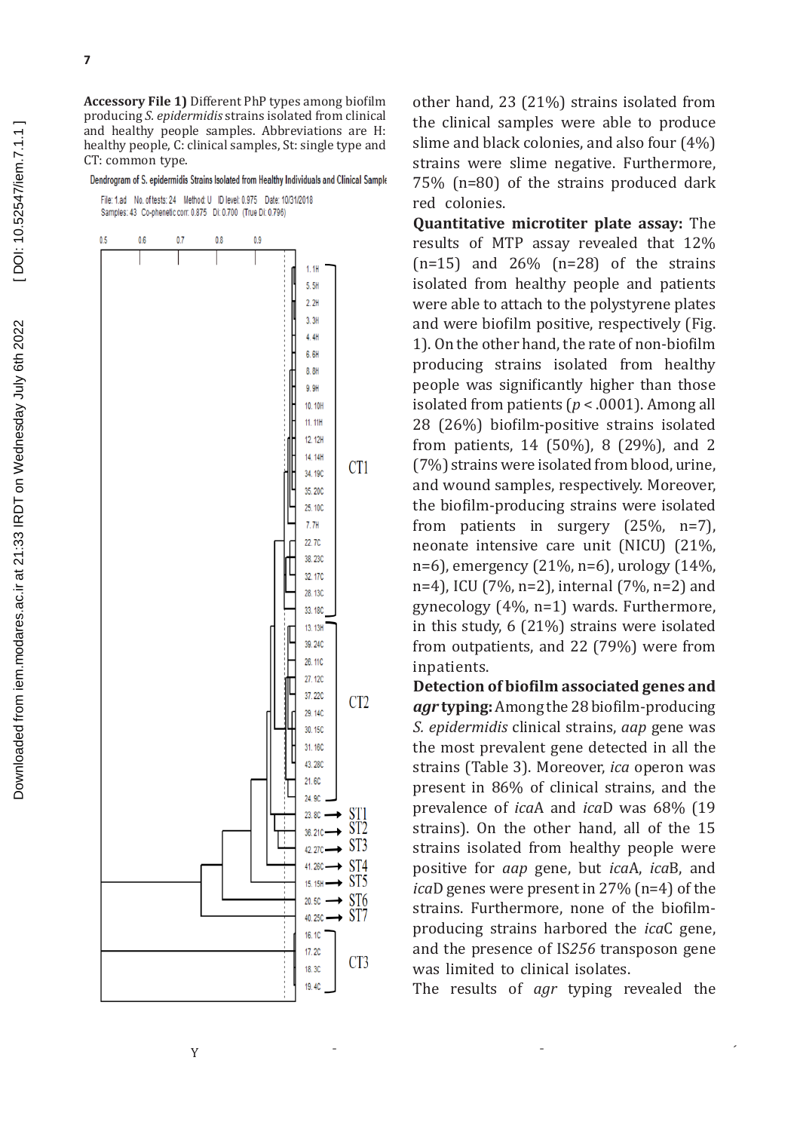Dendrogram of S. epidermidis Strains Isolated from Healthy Individuals and Clinical Sample

File: 1.ad No. of tests: 24 Method: U ID level: 0.975 Date: 10/31/2018 Samples: 43 Co-phenetic corr. 0.875 Di: 0.700 (True Di: 0.796)



other hand, 23 (21%) strains isolated from the clinical samples were able to produce slime and black colonies, and also four (4%) strains were slime negative. Furthermore, 75% (n=80) of the strains produced dark red colonies.

**Quantitative microtiter plate assay:** The results of MTP assay revealed that 12%  $(n=15)$  and  $26\%$   $(n=28)$  of the strains isolated from healthy people and patients were able to attach to the polystyrene plates and were biofilm positive, respectively (Fig. 1). On the other hand, the rate of non-biofilm producing strains isolated from healthy people was significantly higher than those isolated from patients (*p* < .0001). Among all 28 (26%) biofilm-positive strains isolated from patients, 14 (50%), 8 (29%), and 2 (7%) strains were isolated from blood, urine, and wound samples, respectively. Moreover, the biofilm-producing strains were isolated from patients in surgery (25%, n=7), neonate intensive care unit (NICU) (21%, n=6), emergency (21%, n=6), urology (14%, n=4), ICU (7%, n=2), internal (7%, n=2) and gynecology (4%, n=1) wards. Furthermore, in this study, 6 (21%) strains were isolated from outpatients, and 22 (79%) were from inpatients.

**Detection of biofilm associated genes and**  *agr* **typing:** Among the 28 biofilm-producing *S. epidermidis* clinical strains, *aap* gene was the most prevalent gene detected in all the strains (Table 3). Moreover, *ica* operon was present in 86% of clinical strains, and the prevalence of *ica*A and *ica*D was 68% (19 strains). On the other hand, all of the 15 strains isolated from healthy people were positive for *aap* gene, but *ica*A, *ica*B, and *ica*D genes were present in 27% (n=4) of the strains. Furthermore, none of the biofilmproducing strains harbored the *ica*C gene, and the presence of IS*256* transposon gene was limited to clinical isolates.

The results of *agr* typing revealed the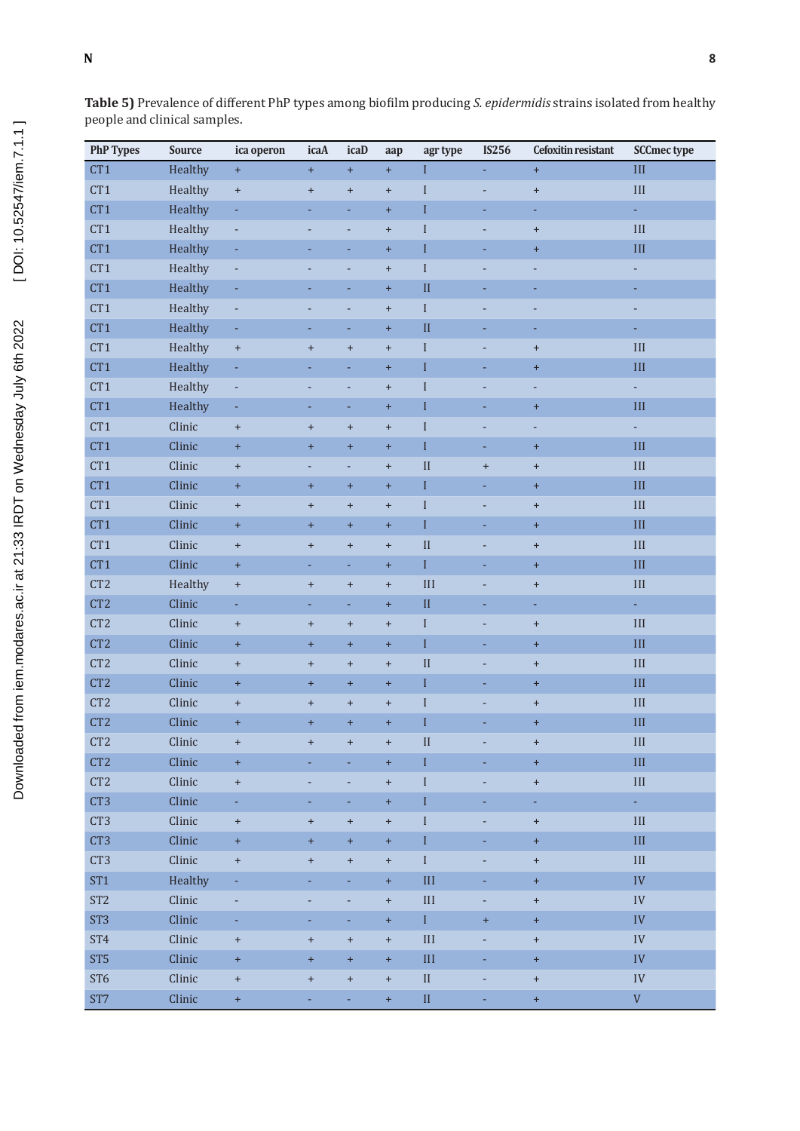## ] } . o u ( } Œ u  $\ddot{\mathbf{S}}$ . }expid|extmidis

Table 5) Prevalence of different PhP types among biofilm producing S. epidermidis strains isolated from healthy people and clinical samples.

| <b>PhP Types</b> | <b>Source</b> | ica operon                       | icaA                             | icaD                             | aap                              | agr type                  | <b>IS256</b>   | Cefoxitin resistant              | <b>SCCmec type</b>        |
|------------------|---------------|----------------------------------|----------------------------------|----------------------------------|----------------------------------|---------------------------|----------------|----------------------------------|---------------------------|
| CT1              | Healthy       | $\pm$                            | $+$                              | $\pm$                            | $+$                              | $\boldsymbol{\mathrm{I}}$ |                | $\pm$                            | $\rm III$                 |
| CT1              | Healthy       | $\pm$                            | $\begin{array}{c} + \end{array}$ | $\begin{array}{c} + \end{array}$ | $\begin{array}{c} + \end{array}$ | $\bf I$                   | L,             | $\begin{array}{c} + \end{array}$ | $\rm III$                 |
| CT1              | Healthy       | $\overline{\phantom{a}}$         | ÷                                | ÷                                | $\ddot{}$                        | $\bf I$                   | ÷              | ÷                                | ÷,                        |
| CT1              | Healthy       | $\blacksquare$                   | L,                               | ÷,                               | $\begin{array}{c} + \end{array}$ | $\bf I$                   | ÷,             | $\begin{array}{c} + \end{array}$ | $\rm III$                 |
| CT1              | Healthy       | ۳                                |                                  |                                  | $\begin{array}{c} + \end{array}$ | $\rm I$                   |                | $\begin{array}{c} + \end{array}$ | $\rm III$                 |
| CT1              | Healthy       | $\overline{\phantom{a}}$         |                                  | ÷,                               | $\begin{array}{c} + \end{array}$ | $\rm I$                   |                | ÷                                | ÷                         |
| CT1              | Healthy       |                                  |                                  |                                  | $+$                              | $\mathbf{I}$              |                |                                  |                           |
| CT1              | Healthy       | $\blacksquare$                   |                                  | L,                               | $\begin{array}{c} + \end{array}$ | $\rm I$                   |                |                                  |                           |
| CT1              | Healthy       | ä,                               |                                  | L,                               | $+$                              | $\mathbf{I}$              |                |                                  |                           |
| CT1              | Healthy       | $\pm$                            | $\begin{array}{c} + \end{array}$ | $\begin{array}{c} + \end{array}$ | $\begin{array}{c} + \end{array}$ | $\mathbf I$               | $\overline{a}$ | $\begin{array}{c} + \end{array}$ | $\rm III$                 |
| CT1              | Healthy       | ÷,                               |                                  | L,                               | $+$                              | $\bf I$                   |                | $\pm$                            | $III$                     |
| CT1              | Healthy       | $\blacksquare$                   |                                  | L,                               | $+$                              | $\bf I$                   |                | ÷,                               | ÷.                        |
| CT1              | Healthy       | ÷,                               | ÷,                               | ÷                                | $+$                              | $\rm I$                   | ä,             | $\pm$                            | $\rm III$                 |
| CT1              | Clinic        | $\begin{array}{c} + \end{array}$ | $\begin{array}{c} + \end{array}$ | $\begin{array}{c} + \end{array}$ | $\begin{array}{c} + \end{array}$ | $\bf I$                   | -              | ÷,                               | ÷,                        |
| CT1              | Clinic        | $\begin{array}{c} + \end{array}$ | Ŧ                                | $\ddot{}$                        | $+$                              | $\bar{\text{I}}$          | ÷,             | $+$                              | $\rm III$                 |
| CT1              | Clinic        | $\pm$                            |                                  | L,                               | $+$                              | $\overline{\rm II}$       | $\ddot{}$      | $\boldsymbol{+}$                 | $\rm III$                 |
| CT1              | Clinic        | $\pm$                            | $\ddot{}$                        | $+$                              | $\pm$                            | $\rm I$                   | L,             | $+$                              | $\rm III$                 |
| CT1              | Clinic        | $\pm$                            | $\ddot{}$                        | $+$                              | $\begin{array}{c} + \end{array}$ | $\bf I$                   |                | $\begin{array}{c} + \end{array}$ | $\rm III$                 |
| CT1              | Clinic        | $\ddag$                          | Ŧ,                               | $\pm$                            | $+$                              | $\rm I$                   |                | $\pm$                            | $\rm III$                 |
| CT1              | Clinic        | $\pm$                            | $\begin{array}{c} + \end{array}$ | $\begin{array}{c} + \end{array}$ | $\begin{array}{c} + \end{array}$ | $\overline{\rm II}$       |                | $\begin{array}{c} + \end{array}$ | $\rm III$                 |
| CT1              | Clinic        | $\ddag$                          | ÷,                               | ÷,                               | $\ddot{}$                        | $\rm I$                   |                | $\pm$                            | $\rm III$                 |
| CT <sub>2</sub>  | Healthy       | $\boldsymbol{+}$                 | $\begin{array}{c} + \end{array}$ | $\begin{array}{c} + \end{array}$ | $\begin{array}{c} + \end{array}$ | III                       |                | $\begin{array}{c} + \end{array}$ | $\rm III$                 |
| CT <sub>2</sub>  | Clinic        | ÷                                | ٠                                | Ξ                                | $\begin{array}{c} + \end{array}$ | $\rm II$                  | ÷              | ÷                                | ÷,                        |
| CT <sub>2</sub>  | Clinic        | $\boldsymbol{+}$                 | $\begin{array}{c} + \end{array}$ | $\boldsymbol{+}$                 | $\begin{array}{c} + \end{array}$ | $\rm I$                   | ÷,             | $\begin{array}{c} + \end{array}$ | $\rm III$                 |
| CT <sub>2</sub>  | Clinic        | $\begin{array}{c} + \end{array}$ | $\ddot{}$                        | $+$                              | $+$                              | $\rm I$                   |                | $+$                              | $\rm III$                 |
| CT <sub>2</sub>  | Clinic        | $\boldsymbol{+}$                 | $\ddot{}$                        | $\begin{array}{c} + \end{array}$ | $\begin{array}{c} + \end{array}$ | $\mathbf{I}$              | L,             | $+$                              | $\rm III$                 |
| CT <sub>2</sub>  | Clinic        | $\pm$                            | ÷                                | $+$                              | $+$                              | $\bar{\text{I}}$          |                | $+$                              | $\rm III$                 |
| CT <sub>2</sub>  | Clinic        | $\boldsymbol{+}$                 | $\begin{array}{c} + \end{array}$ | $\begin{array}{c} + \end{array}$ | $\begin{array}{c} + \end{array}$ | $\bf I$                   |                | $\boldsymbol{+}$                 | $\rm III$                 |
| CT <sub>2</sub>  | Clinic        | $\pm$                            | $\ddot{}$                        | $+$                              | $+$                              | $\mathbf I$               |                | $+$                              | III                       |
| CT <sub>2</sub>  | Clinic        | $\ddot{}$                        |                                  | $\ddot{}$                        | $\ddot{}$                        | П                         |                | $+$                              | Ш                         |
| CT <sub>2</sub>  | Clinic        | $\pm$                            |                                  |                                  | $\pm$                            | $\bf I$                   |                | $+$                              | $\rm III$                 |
| CT <sub>2</sub>  | Clinic        | $\color{red}{+}$                 |                                  | L,                               | $\boldsymbol{+}$                 | $\rm I$                   | ÷,             | $\pm$                            | $\rm III$                 |
| CT3              | Clinic        | ÷.                               |                                  | ÷                                | $\pm$                            | $\rm I$                   | L,             | ÷.                               | $\omega_{\rm c}$          |
| CT <sub>3</sub>  | Clinic        | $\, +$                           | $\ddot{}$                        | $\boldsymbol{+}$                 | $\ddag$                          | $\rm I$                   | ÷,             | $\pm$                            | $\rm III$                 |
| CT3              | Clinic        | $\ddag$                          | $\ddot{}$                        | $+$                              | $\pm$                            | $\rm I$                   |                | $\pm$                            | $\rm III$                 |
| CT3              | Clinic        | $\boldsymbol{+}$                 | $\ddot{}$                        | $\boldsymbol{+}$                 | $\ddag$                          | $\rm I$                   |                | $\pm$                            | $\rm III$                 |
| ST <sub>1</sub>  | Healthy       | ÷                                |                                  | ÷,                               | $\pm$                            | $\rm III$                 | L,             | $\pm$                            | ${\rm IV}$                |
| ST <sub>2</sub>  | Clinic        | $\overline{\phantom{a}}$         |                                  |                                  | $\boldsymbol{+}$                 | $\rm III$                 |                | $+$                              | ${\rm IV}$                |
| ST <sub>3</sub>  | Clinic        | ÷,                               | ÷,                               | ÷,                               | $\pm$                            | $\mathbf I$               | $\pm$          | $\pm$                            | ${\rm IV}$                |
| ST <sub>4</sub>  | Clinic        | $\, +$                           | $\boldsymbol{+}$                 | $\boldsymbol{+}$                 | $^{\mathrm{+}}$                  | $\rm III$                 | L,             | $\pm$                            | ${\rm IV}$                |
| ST <sub>5</sub>  | Clinic        | $\ddag$                          | $\ddot{}$                        | $+$                              | $\pm$                            | $\rm III$                 | ۳              | $+$                              | ${\rm IV}$                |
| ST <sub>6</sub>  | Clinic        | $\, +$                           | $\boldsymbol{+}$                 | $\boldsymbol{+}$                 | $^{\mathrm{+}}$                  | $\rm II$                  | -              | $\pm$                            | ${\rm IV}$                |
| ST7              | Clinic        | $\pm$                            |                                  |                                  | $\pm$                            | $\rm II$                  | L,             | $\pm$                            | $\ensuremath{\mathsf{V}}$ |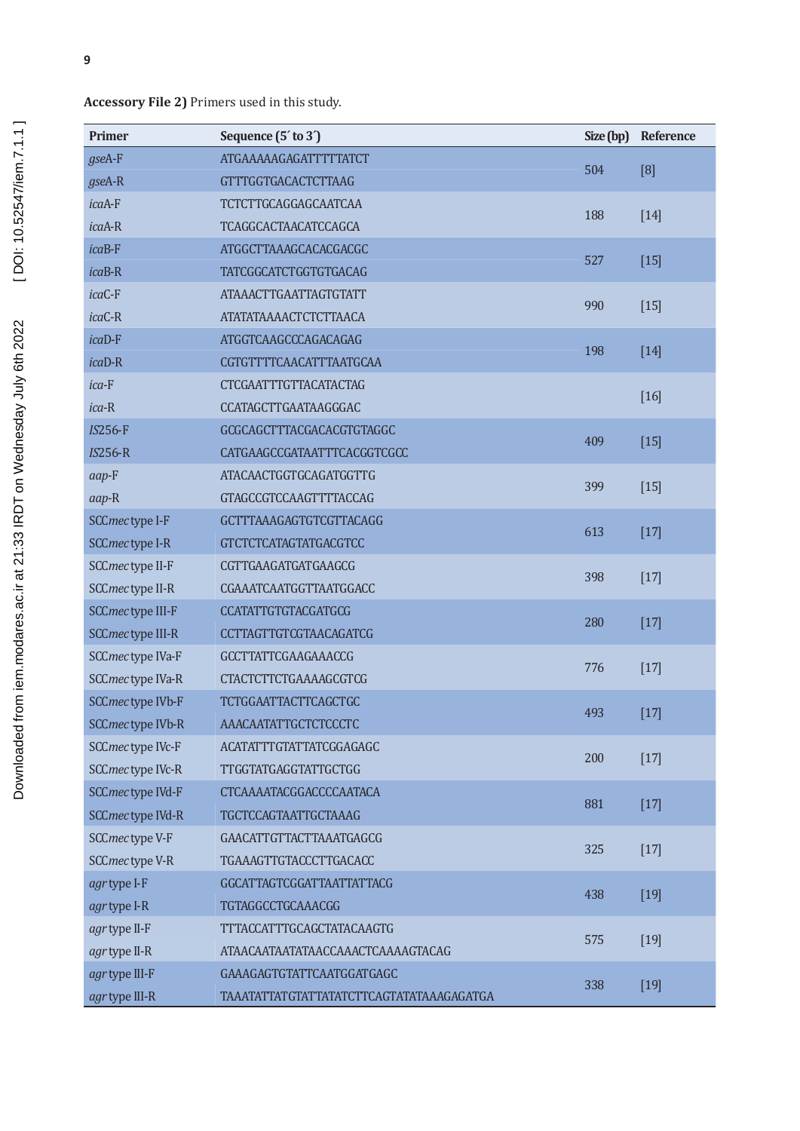Accessory File 2) Primers used in this study.

| <b>Primer</b>     | Sequence (5' to 3')                      | Size (bp) | Reference |
|-------------------|------------------------------------------|-----------|-----------|
| $g$ seA-F         | <b>ATGAAAAAGAGATTTTTATCT</b>             |           |           |
| gseA-R            | <b>GTTTGGTGACACTCTTAAG</b>               | 504       | [8]       |
| icaA-F            | TCTCTTGCAGGAGCAATCAA                     |           |           |
| icaA-R            | TCAGGCACTAACATCCAGCA                     | 188       | $[14]$    |
| icaB-F            | ATGGCTTAAAGCACACGACGC                    |           |           |
| $icaB-R$          | <b>TATCGGCATCTGGTGTGACAG</b>             | 527       | $[15]$    |
| icaC-F            | <b>ATAAACTTGAATTAGTGTATT</b>             |           |           |
| icaC-R            | ATATATAAAACTCTCTTAACA                    | 990       | $[15]$    |
| icaD-F            | ATGGTCAAGCCCAGACAGAG                     |           |           |
| $ica$ D-R         | CGTGTTTTCAACATTTAATGCAA                  | 198       | $[14]$    |
| $ica-F$           | <b>CTCGAATTTGTTACATACTAG</b>             |           |           |
| $ica-R$           | CCATAGCTTGAATAAGGGAC                     |           | $[16]$    |
| $IS256-F$         | GCGCAGCTTTACGACACGTGTAGGC                |           |           |
| $IS256-R$         | CATGAAGCCGATAATTTCACGGTCGCC              | 409       | $[15]$    |
| aap-F             | <b>ATACAACTGGTGCAGATGGTTG</b>            |           |           |
| aap-R             | <b>GTAGCCGTCCAAGTTTTACCAG</b>            | 399       | $[15]$    |
| SCCmec type I-F   | GCTTTAAAGAGTGTCGTTACAGG                  |           |           |
| SCCmec type I-R   | <b>GTCTCTCATAGTATGACGTCC</b>             | 613       | $[17]$    |
| SCCmec type II-F  | CGTTGAAGATGATGAAGCG                      |           |           |
| SCCmec type II-R  | CGAAATCAATGGTTAATGGACC                   | 398       | $[17]$    |
| SCCmec type III-F | <b>CCATATTGTGTACGATGCG</b>               |           |           |
| SCCmec type III-R | <b>CCTTAGTTGTCGTAACAGATCG</b>            | 280       | $[17]$    |
| SCCmec type IVa-F | GCCTTATTCGAAGAAACCG                      |           |           |
| SCCmec type IVa-R | <b>CTACTCTTCTGAAAAGCGTCG</b>             | 776       | $[17]$    |
| SCCmec type IVb-F | <b>TCTGGAATTACTTCAGCTGC</b>              |           |           |
| SCCmec type IVb-R | AAACAATATTGCTCTCCCTC                     | 493       | $[17]$    |
| SCCmec type IVc-F | <b>ACATATTTGTATTATCGGAGAGC</b>           |           |           |
| SCCmec type IVc-R | <b>TTGGTATGAGGTATTGCTGG</b>              | 200       | $[17]$    |
| SCCmec type IVd-F | CTCAAAATACGGACCCCAATACA                  |           |           |
| SCCmec type IVd-R | TGCTCCAGTAATTGCTAAAG                     | 881       | $[17]$    |
| SCCmec type V-F   | <b>GAACATTGTTACTTAAATGAGCG</b>           |           |           |
| SCCmec type V-R   | TGAAAGTTGTACCCTTGACACC                   | 325       | $[17]$    |
| agr type I-F      | <b>GGCATTAGTCGGATTAATTATTACG</b>         |           |           |
| agr type I-R      | <b>TGTAGGCCTGCAAACGG</b>                 | 438       | $[19]$    |
| agr type II-F     | <b>TTTACCATTTGCAGCTATACAAGTG</b>         |           |           |
| agr type II-R     | ATAACAATAATATAACCAAACTCAAAAGTACAG        | 575       | $[19]$    |
| agr type III-F    | GAAAGAGTGTATTCAATGGATGAGC                |           |           |
| agr type III-R    | TAAATATTATGTATTATATCTTCAGTATATAAAGAGATGA | 338       | $[19]$    |

t]vš Œ îìîíU s}oµu  $6U / \cdot \cdot \mu$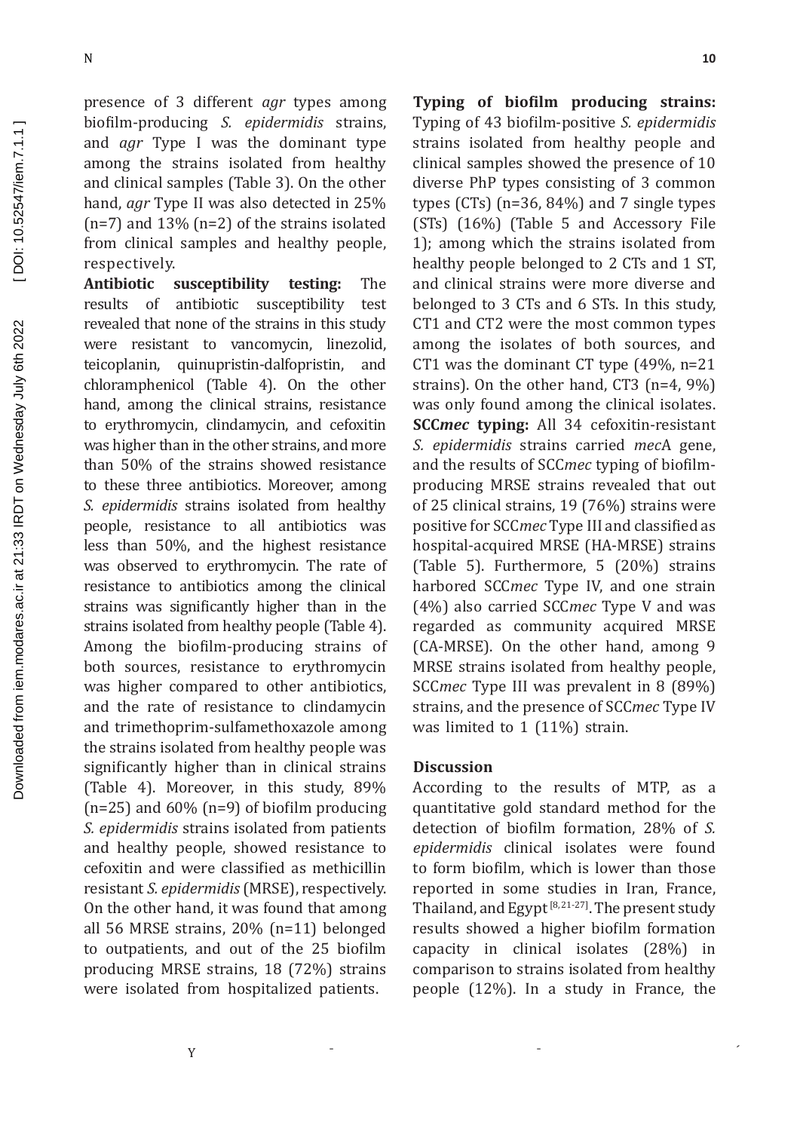presence of 3 different *agr* types among biofilm-producing *S. epidermidis* strains, and *agr* Type I was the dominant type among the strains isolated from healthy and clinical samples (Table 3). On the other hand, *agr* Type II was also detected in 25% (n=7) and 13% (n=2) of the strains isolated from clinical samples and healthy people, respectively.

**Antibiotic susceptibility testing:** The results of antibiotic susceptibility test revealed that none of the strains in this study were resistant to vancomycin, linezolid,<br>teicoplanin, quinupristin-dalfopristin, and quinupristin-dalfopristin, and chloramphenicol (Table 4). On the other hand, among the clinical strains, resistance to erythromycin, clindamycin, and cefoxitin was higher than in the other strains, and more than 50% of the strains showed resistance to these three antibiotics. Moreover, among *S. epidermidis* strains isolated from healthy people, resistance to all antibiotics was less than 50%, and the highest resistance was observed to erythromycin. The rate of resistance to antibiotics among the clinical strains was significantly higher than in the strains isolated from healthy people (Table 4). Among the biofilm-producing strains of both sources, resistance to erythromycin was higher compared to other antibiotics, and the rate of resistance to clindamycin and trimethoprim-sulfamethoxazole among the strains isolated from healthy people was significantly higher than in clinical strains (Table 4). Moreover, in this study, 89% (n=25) and 60% (n=9) of biofilm producing *S. epidermidis* strains isolated from patients and healthy people, showed resistance to cefoxitin and were classified as methicillin resistant *S. epidermidis* (MRSE), respectively. On the other hand, it was found that among all 56 MRSE strains, 20% (n=11) belonged to outpatients, and out of the 25 biofilm producing MRSE strains, 18 (72%) strains were isolated from hospitalized patients.

**Typing of biofilm producing strains:** Typing of 43 biofilm-positive *S. epidermidis* strains isolated from healthy people and clinical samples showed the presence of 10 diverse PhP types consisting of 3 common types (CTs) (n=36, 84%) and 7 single types (STs) (16%) (Table 5 and Accessory File 1); among which the strains isolated from healthy people belonged to 2 CTs and 1 ST, and clinical strains were more diverse and belonged to 3 CTs and 6 STs. In this study, CT1 and CT2 were the most common types among the isolates of both sources, and CT1 was the dominant CT type (49%, n=21 strains). On the other hand, CT3 (n=4, 9%) was only found among the clinical isolates. **SCC***mec* **typing:** All 34 cefoxitin-resistant *S. epidermidis* strains carried *mec*A gene, and the results of SCC*mec* typing of biofilmproducing MRSE strains revealed that out of 25 clinical strains, 19 (76%) strains were positive for SCC*mec* Type III and classified as hospital-acquired MRSE (HA-MRSE) strains (Table 5). Furthermore, 5 (20%) strains harbored SCC*mec* Type IV, and one strain (4%) also carried SCC*mec* Type V and was regarded as community acquired MRSE (CA-MRSE). On the other hand, among 9 MRSE strains isolated from healthy people, SCC*mec* Type III was prevalent in 8 (89%) strains, and the presence of SCC*mec* Type IV was limited to 1 (11%) strain.

#### **Discussion**

According to the results of MTP, as a quantitative gold standard method for the detection of biofilm formation, 28% of *S. epidermidis* clinical isolates were found to form biofilm, which is lower than those reported in some studies in Iran, France, Thailand, and Egypt<sup>[8, 21-27]</sup>. The present study results showed a higher biofilm formation capacity in clinical isolates (28%) in comparison to strains isolated from healthy people (12%). In a study in France, the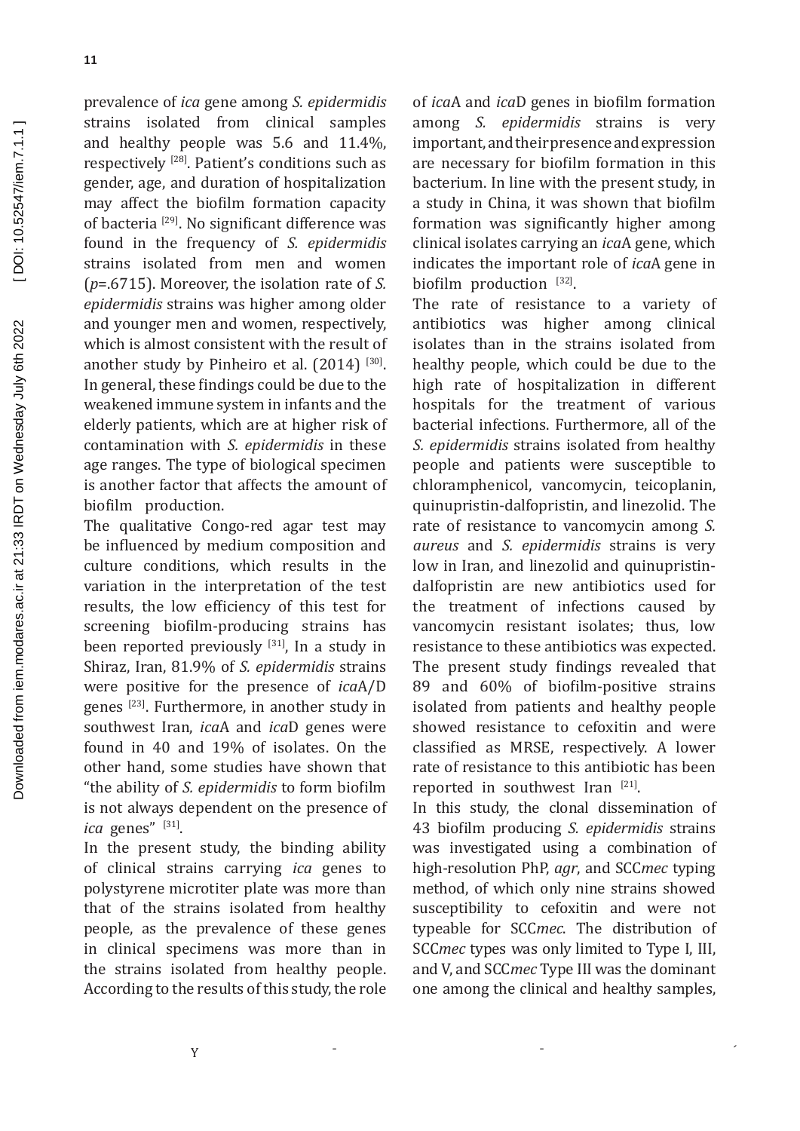prevalence of *ica* gene among *S. epidermidis* strains isolated from clinical samples and healthy people was 5.6 and 11.4%, respectively [28]. Patient's conditions such as gender, age, and duration of hospitalization may affect the biofilm formation capacity of bacteria [29]. No significant difference was found in the frequency of *S. epidermidis* strains isolated from men and women (*p*=.6715). Moreover, the isolation rate of *S. epidermidis* strains was higher among older and younger men and women, respectively, which is almost consistent with the result of another study by Pinheiro et al.  $(2014)$ <sup>[30]</sup>. In general, these findings could be due to the weakened immune system in infants and the elderly patients, which are at higher risk of contamination with *S. epidermidis* in these age ranges. The type of biological specimen is another factor that affects the amount of biofilm production.

The qualitative Congo-red agar test may be influenced by medium composition and culture conditions, which results in the variation in the interpretation of the test results, the low efficiency of this test for screening biofilm-producing strains has been reported previously  $[31]$ , In a study in Shiraz, Iran, 81.9% of *S. epidermidis* strains were positive for the presence of *ica*A/D genes [23]. Furthermore, in another study in southwest Iran, *ica*A and *ica*D genes were found in 40 and 19% of isolates. On the other hand, some studies have shown that "the ability of *S. epidermidis* to form biofilm is not always dependent on the presence of *ica* genes" [31].

In the present study, the binding ability of clinical strains carrying *ica* genes to polystyrene microtiter plate was more than that of the strains isolated from healthy people, as the prevalence of these genes in clinical specimens was more than in the strains isolated from healthy people. According to the results of this study, the role

of *ica*A and *ica*D genes in biofilm formation among *S. epidermidis* strains is very important, and their presence and expression are necessary for biofilm formation in this bacterium. In line with the present study, in a study in China, it was shown that biofilm formation was significantly higher among clinical isolates carrying an *ica*A gene, which indicates the important role of *ica*A gene in biofilm production [32].

The rate of resistance to a variety of antibiotics was higher among clinical isolates than in the strains isolated from healthy people, which could be due to the high rate of hospitalization in different hospitals for the treatment of various bacterial infections. Furthermore, all of the *S. epidermidis* strains isolated from healthy people and patients were susceptible to chloramphenicol, vancomycin, teicoplanin, quinupristin-dalfopristin, and linezolid. The rate of resistance to vancomycin among *S. aureus* and *S. epidermidis* strains is very low in Iran, and linezolid and quinupristindalfopristin are new antibiotics used for the treatment of infections caused by vancomycin resistant isolates; thus, low resistance to these antibiotics was expected. The present study findings revealed that 89 and 60% of biofilm-positive strains isolated from patients and healthy people showed resistance to cefoxitin and were classified as MRSE, respectively. A lower rate of resistance to this antibiotic has been reported in southwest Iran [21].

In this study, the clonal dissemination of 43 biofilm producing *S. epidermidis* strains was investigated using a combination of high-resolution PhP, *agr*, and SCC*mec* typing method, of which only nine strains showed susceptibility to cefoxitin and were not typeable for SCC*mec*. The distribution of SCC*mec* types was only limited to Type I, III, and V, and SCC*mec* Type III was the dominant one among the clinical and healthy samples,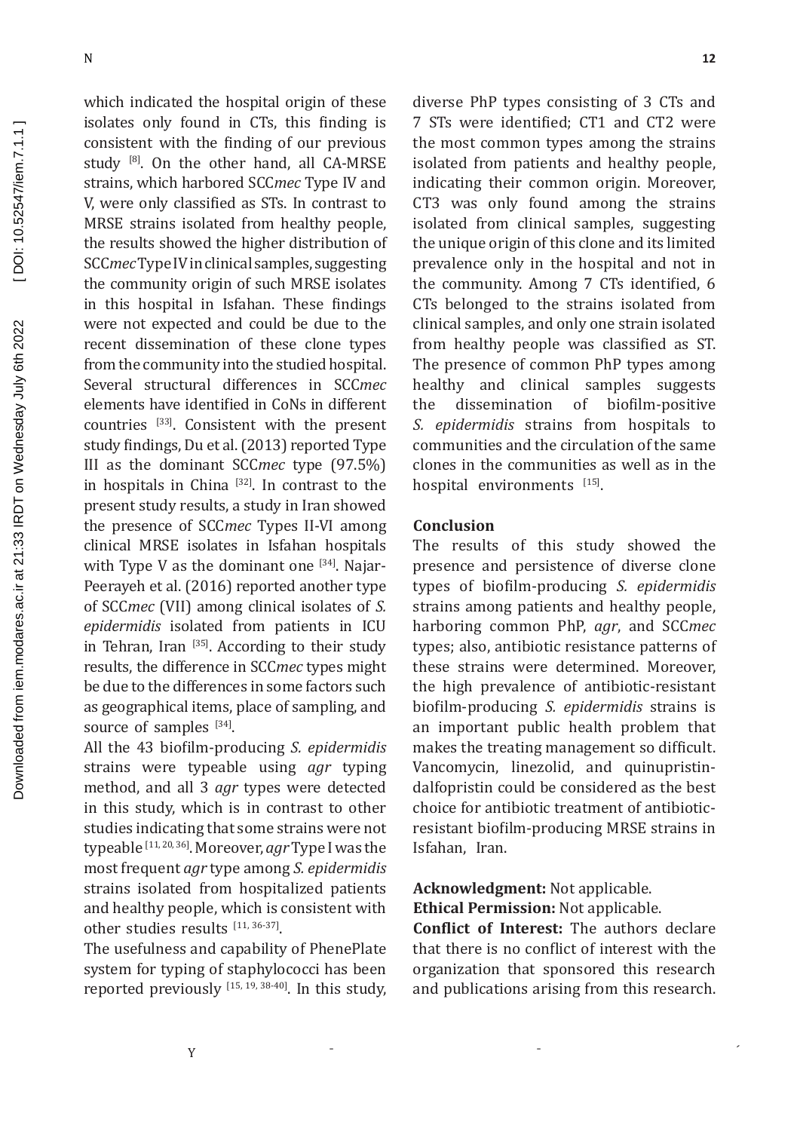which indicated the hospital origin of these isolates only found in CTs, this finding is consistent with the finding of our previous study  $[8]$ . On the other hand, all CA-MRSE strains, which harbored SCC*mec* Type IV and V, were only classified as STs. In contrast to MRSE strains isolated from healthy people, the results showed the higher distribution of SCC*mec* Type IV in clinical samples, suggesting the community origin of such MRSE isolates in this hospital in Isfahan. These findings were not expected and could be due to the recent dissemination of these clone types from the community into the studied hospital. Several structural differences in SCC*mec*  elements have identified in CoNs in different countries [33]. Consistent with the present study findings, Du et al. (2013) reported Type III as the dominant SCC*mec* type (97.5%) in hospitals in China [32]. In contrast to the present study results, a study in Iran showed the presence of SCC*mec* Types II-VI among clinical MRSE isolates in Isfahan hospitals with Type V as the dominant one  $[34]$ . Najar-Peerayeh et al. (2016) reported another type of SCC*mec* (VII) among clinical isolates of *S. epidermidis* isolated from patients in ICU in Tehran, Iran [35]. According to their study results, the difference in SCC*mec* types might be due to the differences in some factors such as geographical items, place of sampling, and source of samples [34].

All the 43 biofilm-producing *S. epidermidis* strains were typeable using *agr* typing method, and all 3 *agr* types were detected in this study, which is in contrast to other studies indicating that some strains were not typeable [11, 20, 36]. Moreover, *agr* Type I was the most frequent *agr* type among *S. epidermidis* strains isolated from hospitalized patients and healthy people, which is consistent with other studies results [11, 36-37].

The usefulness and capability of PhenePlate system for typing of staphylococci has been reported previously  $[15, 19, 38-40]$ . In this study, diverse PhP types consisting of 3 CTs and 7 STs were identified; CT1 and CT2 were the most common types among the strains isolated from patients and healthy people, indicating their common origin. Moreover, CT3 was only found among the strains isolated from clinical samples, suggesting the unique origin of this clone and its limited prevalence only in the hospital and not in the community. Among 7 CTs identified, 6 CTs belonged to the strains isolated from clinical samples, and only one strain isolated from healthy people was classified as ST. The presence of common PhP types among healthy and clinical samples suggests<br>the dissemination of biofilm-positive dissemination of *S. epidermidis* strains from hospitals to communities and the circulation of the same clones in the communities as well as in the hospital environments [15].

### **Conclusion**

The results of this study showed the presence and persistence of diverse clone types of biofilm-producing *S. epidermidis* strains among patients and healthy people, harboring common PhP, *agr*, and SCC*mec* types; also, antibiotic resistance patterns of these strains were determined. Moreover, the high prevalence of antibiotic-resistant biofilm-producing *S. epidermidis* strains is an important public health problem that makes the treating management so difficult. Vancomycin, linezolid, and quinupristindalfopristin could be considered as the best choice for antibiotic treatment of antibioticresistant biofilm-producing MRSE strains in Isfahan, Iran.

## **Acknowledgment:** Not applicable. **Ethical Permission:** Not applicable.

**Conflict of Interest:** The authors declare that there is no conflict of interest with the organization that sponsored this research and publications arising from this research.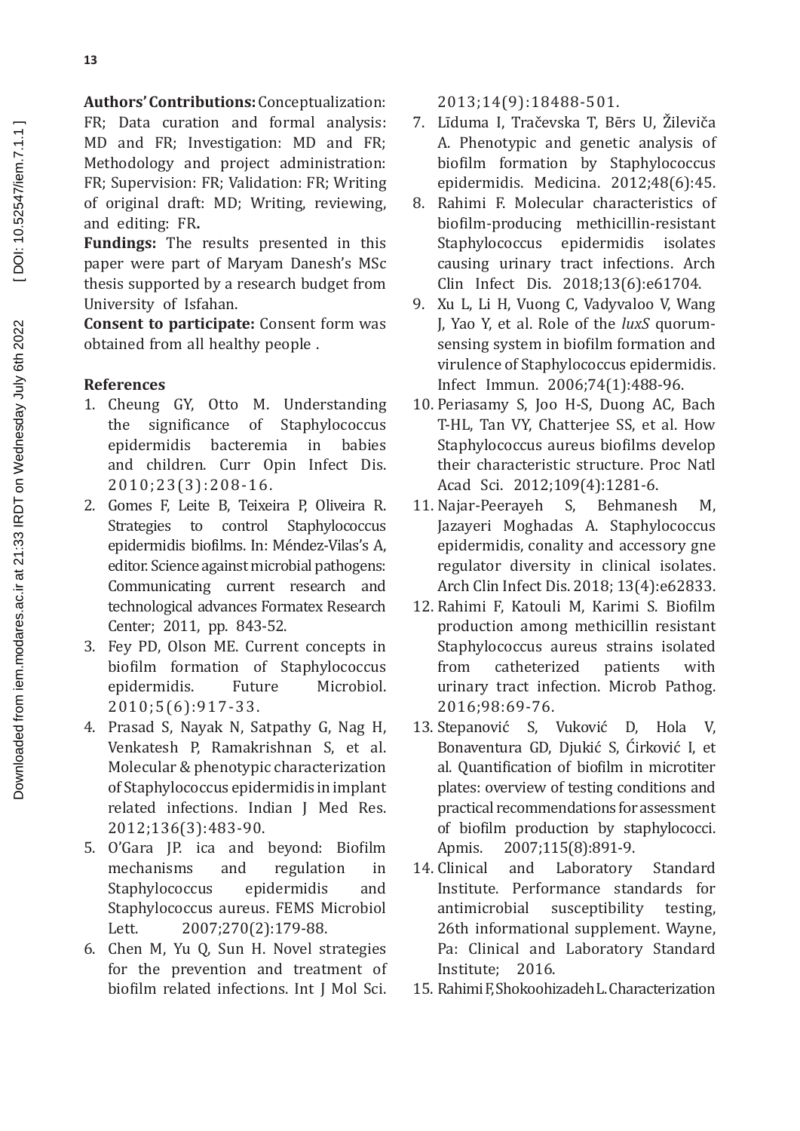**Authors' Contributions:** Conceptualization: FR; Data curation and formal analysis: MD and FR; Investigation: MD and FR; Methodology and project administration: FR; Supervision: FR; Validation: FR; Writing of original draft: MD; Writing, reviewing, and editing: FR**.**

**Fundings:** The results presented in this paper were part of Maryam Danesh's MSc thesis supported by a research budget from University of Isfahan.

**Consent to participate:** Consent form was obtained from all healthy people .

## **References**

- 1. Cheung GY, Otto M. Understanding<br>the significance of Staphylococcus ance of Staphylococcus<br>bacteremia in babies epidermidis and children. Curr Opin Infect Dis. 2010;23(3):208-16.
- 2. Gomes F, Leite B, Teixeira P, Oliveira R. Strategies to control Staphylococcus epidermidis biofilms. In: Méndez-Vilas's A, editor. Science against microbial pathogens: Communicating current research and technological advances Formatex Research Center; 2011, pp. 843-52.
- 3. Fey PD, Olson ME. Current concepts in biofilm formation of Staphylococcus<br>epidermidis. Future Microbiol. epidermidis. 2010;5(6):917-33.
- 4. Prasad S, Nayak N, Satpathy G, Nag H, Venkatesh P, Ramakrishnan S, et al. Molecular & phenotypic characterization of Staphylococcus epidermidis in implant related infections. Indian J Med Res. 2012;136(3):483-90.
- 5. O'Gara JP. ica and beyond: Biofilm mechanisms and regulation in<br>Staphylococcus epidermidis and Staphylococcus Staphylococcus aureus. FEMS Microbiol<br>Lett. 2007:270(2):179-88. 2007;270(2):179-88.
- 6. Chen M, Yu Q, Sun H. Novel strategies for the prevention and treatment of biofilm related infections. Int J Mol Sci.

2013;14(9):18488-501.

- 7. Līduma I, Tračevska T, Bērs U, Žileviča A. Phenotypic and genetic analysis of biofilm formation by Staphylococcus epidermidis. Medicina. 2012;48(6):45.
- 8. Rahimi F. Molecular characteristics of biofilm-producing methicillin-resistant Staphylococcus epidermidis isolates causing urinary tract infections. Arch Clin Infect Dis. 2018;13(6):e61704.
- 9. Xu L, Li H, Vuong C, Vadyvaloo V, Wang J, Yao Y, et al. Role of the *luxS* quorumsensing system in biofilm formation and virulence of Staphylococcus epidermidis. Infect Immun. 2006;74(1):488-96.
- 10. Periasamy S, Joo H-S, Duong AC, Bach T-HL, Tan VY, Chatterjee SS, et al. How Staphylococcus aureus biofilms develop their characteristic structure. Proc Natl Acad Sci. 2012;109(4):1281-6.
- 11. Najar-Peerayeh S, Behmanesh M, Jazayeri Moghadas A. Staphylococcus epidermidis, conality and accessory gne regulator diversity in clinical isolates. Arch Clin Infect Dis. 2018; 13(4):e62833.
- 12. Rahimi F, Katouli M, Karimi S. Biofilm production among methicillin resistant Staphylococcus aureus strains isolated<br>from catheterized patients with catheterized patients with urinary tract infection. Microb Pathog. 2016;98:69-76.
- 13. Stepanović S, Vuković D, Hola V, Bonaventura GD, Diukić S, Ćirković I, et al. Quantification of biofilm in microtiter plates: overview of testing conditions and practical recommendations for assessment of biofilm production by staphylococci.<br>Apmis. 2007:115(8):891-9. Apmis. 2007;115(8):891-9.<br>14. Clinical and Laboratory
- Laboratory Standard Institute. Performance standards for<br>antimicrobial susceptibility testing. susceptibility 26th informational supplement. Wayne, Pa: Clinical and Laboratory Standard<br>Institute: 2016. Institute:
- 15. Rahimi F, Shokoohizadeh L. Characterization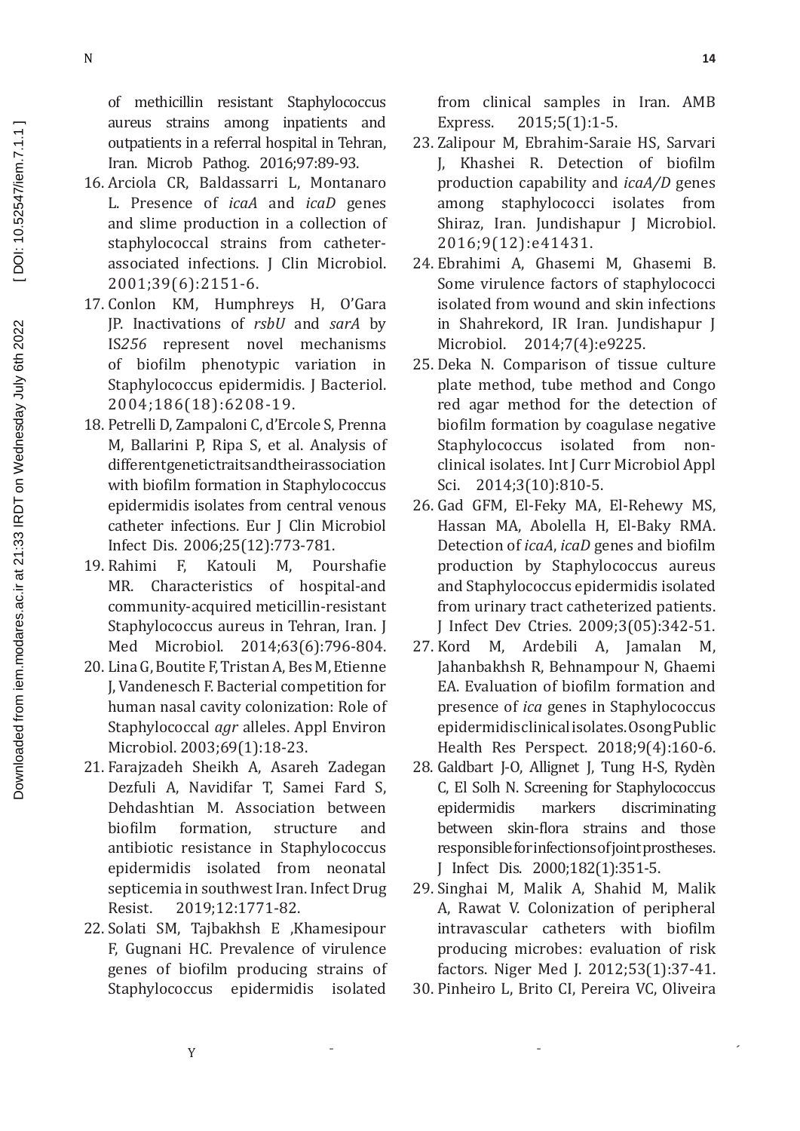of methicillin resistant Staphylococcus aureus strains among inpatients and outpatients in a referral hospital in Tehran, Iran. Microb Pathog. 2016;97:89-93.

- 16. Arciola CR, Baldassarri L, Montanaro L. Presence of *icaA* and *icaD* genes and slime production in a collection of staphylococcal strains from catheterassociated infections. J Clin Microbiol. 2001;39(6):2151-6.
- 17. Conlon KM, Humphreys H, O'Gara IP. Inactivations of rsbU and sarA by IS256 represent novel mechanisms of biofilm phenotypic variation in Staphylococcus epidermidis. J Bacteriol. 2004;186(18):6208-19.
- 18. Petrelli D, Zampaloni C, d'Ercole S, Prenna M, Ballarini P, Ripa S, et al. Analysis of differentgenetictraitsandtheirassociation with biofilm formation in Staphylococcus epidermidis isolates from central venous catheter infections. Eur J Clin Microbiol Infect Dis. 2006;25(12):773-781.
- 19. Rahimi F. Katouli  $M_{\star}$ Pourshafie MR. Characteristics of hospital-and community-acquired meticillin-resistant Staphylococcus aureus in Tehran, Iran. J. Med Microbiol. 2014;63(6):796-804.
- 20. Lina G, Boutite F, Tristan A, Bes M, Etienne J. Vandenesch F. Bacterial competition for human nasal cavity colonization: Role of Staphylococcal *agr* alleles. Appl Environ Microbiol. 2003;69(1):18-23.
- 21. Farajzadeh Sheikh A, Asareh Zadegan Dezfuli A, Navidifar T, Samei Fard S, Dehdashtian M. Association between hiofilm formation. structure and antibiotic resistance in Staphylococcus epidermidis isolated from neonatal septicemia in southwest Iran. Infect Drug 2019:12:1771-82. Resist.
- 22. Solati SM, Tajbakhsh E , Khamesipour F. Gugnani HC. Prevalence of virulence genes of biofilm producing strains of Staphylococcus epidermidis isolated

from clinical samples in Iran. AMB  $2015;5(1):1-5.$ Express.

- 23. Zalipour M, Ebrahim-Saraie HS, Sarvari J, Khashei R. Detection of biofilm production capability and *icaA/D* genes among staphylococci isolates from Shiraz, Iran. Jundishapur J Microbiol. 2016;9(12):e41431.
- 24. Ebrahimi A, Ghasemi M, Ghasemi B. Some virulence factors of staphylococci isolated from wound and skin infections in Shahrekord, IR Iran. Jundishapur J Microbiol. 2014;7(4):e9225.
- 25. Deka N. Comparison of tissue culture plate method, tube method and Congo red agar method for the detection of biofilm formation by coagulase negative Staphylococcus isolated from nonclinical isolates. Int J Curr Microbiol Appl Sci. 2014;3(10):810-5.
- 26. Gad GFM, El-Feky MA, El-Rehewy MS, Hassan MA, Abolella H, El-Baky RMA. Detection of icaA, icaD genes and biofilm production by Staphylococcus aureus and Staphylococcus epidermidis isolated from urinary tract catheterized patients. J Infect Dev Ctries. 2009;3(05):342-51.
- 27. Kord M, Ardebili A, Jamalan M, Jahanbakhsh R, Behnampour N, Ghaemi EA. Evaluation of biofilm formation and presence of *ica* genes in Staphylococcus epidermidis clinical isolates. Osong Public Health Res Perspect. 2018;9(4):160-6.
- 28. Galdbart J-O, Allignet J, Tung H-S, Rydèn C. El Solh N. Screening for Staphylococcus markers discriminating epidermidis between skin-flora strains and those responsible for infections of joint prostheses. J Infect Dis. 2000;182(1):351-5.
- 29. Singhai M, Malik A, Shahid M, Malik A. Rawat V. Colonization of peripheral intravascular catheters with biofilm producing microbes: evaluation of risk factors. Niger Med J. 2012;53(1):37-41.
- 30. Pinheiro L, Brito CI, Pereira VC, Oliveira